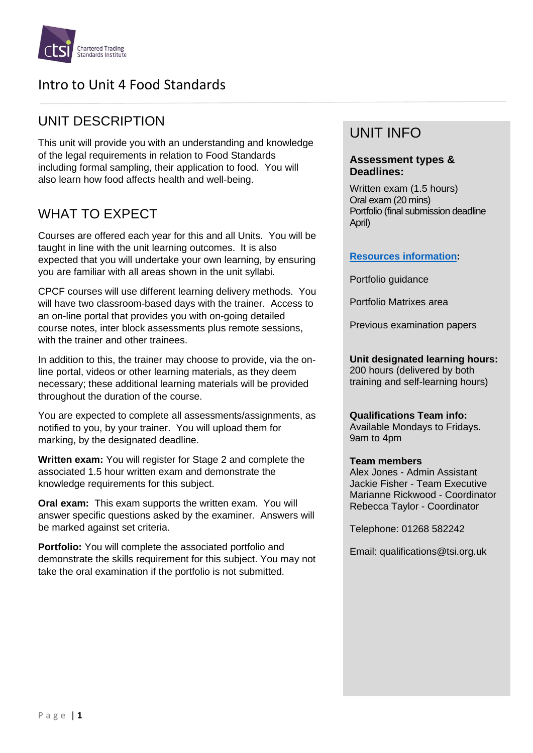

## UNIT DESCRIPTION

This unit will provide you with an understanding and knowledge of the legal requirements in relation to Food Standards including formal sampling, their application to food. You will also learn how food affects health and well-being.

# WHAT TO EXPECT

Courses are offered each year for this and all Units. You will be taught in line with the unit learning outcomes. It is also expected that you will undertake your own learning, by ensuring you are familiar with all areas shown in the unit syllabi.

CPCF courses will use different learning delivery methods. You will have two classroom-based days with the trainer. Access to an on-line portal that provides you with on-going detailed course notes, inter block assessments plus remote sessions, with the trainer and other trainees

In addition to this, the trainer may choose to provide, via the online portal, videos or other learning materials, as they deem necessary; these additional learning materials will be provided throughout the duration of the course.

You are expected to complete all assessments/assignments, as notified to you, by your trainer. You will upload them for marking, by the designated deadline.

**Written exam:** You will register for Stage 2 and complete the associated 1.5 hour written exam and demonstrate the knowledge requirements for this subject.

**Oral exam:** This exam supports the written exam. You will answer specific questions asked by the examiner. Answers will be marked against set criteria.

**Portfolio:** You will complete the associated portfolio and demonstrate the skills requirement for this subject. You may not take the oral examination if the portfolio is not submitted.

## UNIT INFO

### **Assessment types & Deadlines:**

Written exam (1.5 hours) Oral exam (20 mins) Portfolio (final submission deadline April)

### **[Resources information:](https://www.tradingstandards.uk/practitioners/training-development/qualifications-resources)**

Portfolio guidance

Portfolio Matrixes area

Previous examination papers

**Unit designated learning hours:** 200 hours (delivered by both training and self-learning hours)

**Qualifications Team info:** Available Mondays to Fridays. 9am to 4pm

#### **Team members**

Alex Jones - Admin Assistant Jackie Fisher - Team Executive Marianne Rickwood - Coordinator Rebecca Taylor - Coordinator

Telephone: 01268 582242

Email: qualifications@tsi.org.uk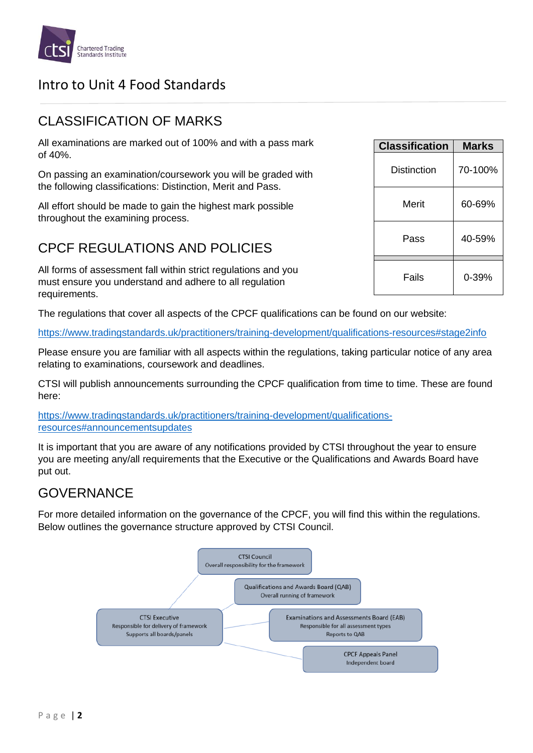

## CLASSIFICATION OF MARKS

All examinations are marked out of 100% and with a pass mark of 40%.

On passing an examination/coursework you will be graded with the following classifications: Distinction, Merit and Pass.

All effort should be made to gain the highest mark possible throughout the examining process.

## CPCF REGULATIONS AND POLICIES

All forms of assessment fall within strict regulations and you must ensure you understand and adhere to all regulation requirements.

The regulations that cover all aspects of the CPCF qualifications can be found on our website:

<https://www.tradingstandards.uk/practitioners/training-development/qualifications-resources#stage2info>

Please ensure you are familiar with all aspects within the regulations, taking particular notice of any area relating to examinations, coursework and deadlines.

CTSI will publish announcements surrounding the CPCF qualification from time to time. These are found here:

[https://www.tradingstandards.uk/practitioners/training-development/qualifications](https://www.tradingstandards.uk/practitioners/training-development/qualifications-resources#announcementsupdates)[resources#announcementsupdates](https://www.tradingstandards.uk/practitioners/training-development/qualifications-resources#announcementsupdates)

It is important that you are aware of any notifications provided by CTSI throughout the year to ensure you are meeting any/all requirements that the Executive or the Qualifications and Awards Board have put out.

## **GOVERNANCE**

For more detailed information on the governance of the CPCF, you will find this within the regulations. Below outlines the governance structure approved by CTSI Council.



| <b>Classification</b> | <b>Marks</b> |
|-----------------------|--------------|
| Distinction           | 70-100%      |
| Merit                 | 60-69%       |
| Pass                  | 40-59%       |
| Fails                 | 0-39%        |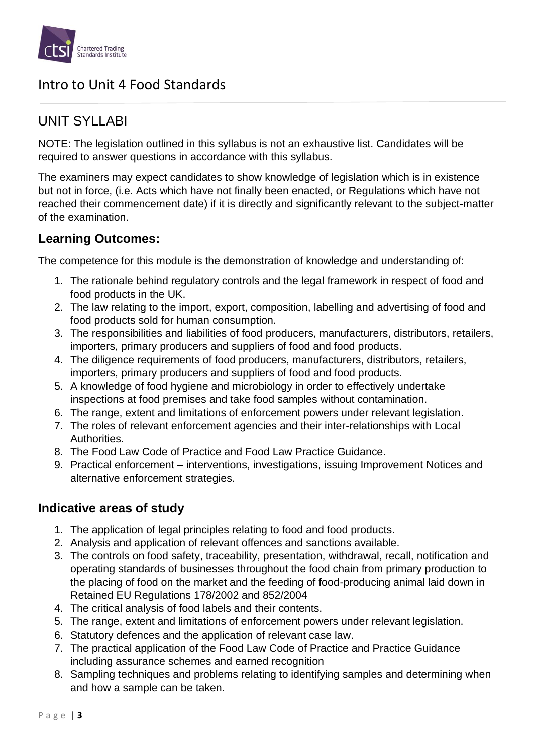

## UNIT SYLLABI

NOTE: The legislation outlined in this syllabus is not an exhaustive list. Candidates will be required to answer questions in accordance with this syllabus.

The examiners may expect candidates to show knowledge of legislation which is in existence but not in force, (i.e. Acts which have not finally been enacted, or Regulations which have not reached their commencement date) if it is directly and significantly relevant to the subject-matter of the examination.

## **Learning Outcomes:**

The competence for this module is the demonstration of knowledge and understanding of:

- 1. The rationale behind regulatory controls and the legal framework in respect of food and food products in the UK.
- 2. The law relating to the import, export, composition, labelling and advertising of food and food products sold for human consumption.
- 3. The responsibilities and liabilities of food producers, manufacturers, distributors, retailers, importers, primary producers and suppliers of food and food products.
- 4. The diligence requirements of food producers, manufacturers, distributors, retailers, importers, primary producers and suppliers of food and food products.
- 5. A knowledge of food hygiene and microbiology in order to effectively undertake inspections at food premises and take food samples without contamination.
- 6. The range, extent and limitations of enforcement powers under relevant legislation.
- 7. The roles of relevant enforcement agencies and their inter-relationships with Local Authorities.
- 8. The Food Law Code of Practice and Food Law Practice Guidance.
- 9. Practical enforcement interventions, investigations, issuing Improvement Notices and alternative enforcement strategies.

### **Indicative areas of study**

- 1. The application of legal principles relating to food and food products.
- 2. Analysis and application of relevant offences and sanctions available.
- 3. The controls on food safety, traceability, presentation, withdrawal, recall, notification and operating standards of businesses throughout the food chain from primary production to the placing of food on the market and the feeding of food-producing animal laid down in Retained EU Regulations 178/2002 and 852/2004
- 4. The critical analysis of food labels and their contents.
- 5. The range, extent and limitations of enforcement powers under relevant legislation.
- 6. Statutory defences and the application of relevant case law.
- 7. The practical application of the Food Law Code of Practice and Practice Guidance including assurance schemes and earned recognition
- 8. Sampling techniques and problems relating to identifying samples and determining when and how a sample can be taken.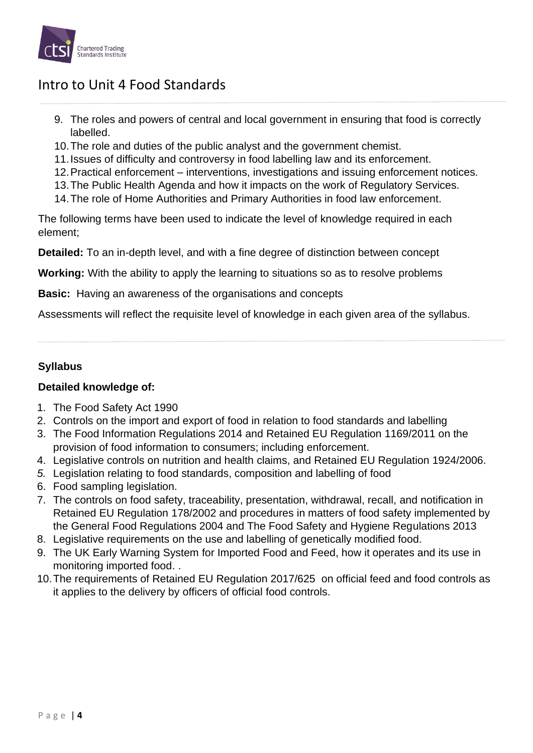

- 9. The roles and powers of central and local government in ensuring that food is correctly labelled.
- 10.The role and duties of the public analyst and the government chemist.
- 11.Issues of difficulty and controversy in food labelling law and its enforcement.
- 12.Practical enforcement interventions, investigations and issuing enforcement notices.
- 13.The Public Health Agenda and how it impacts on the work of Regulatory Services.
- 14.The role of Home Authorities and Primary Authorities in food law enforcement.

The following terms have been used to indicate the level of knowledge required in each element;

**Detailed:** To an in-depth level, and with a fine degree of distinction between concept

**Working:** With the ability to apply the learning to situations so as to resolve problems

**Basic:** Having an awareness of the organisations and concepts

Assessments will reflect the requisite level of knowledge in each given area of the syllabus.

### **Syllabus**

### **Detailed knowledge of:**

- 1. The Food Safety Act 1990
- 2. Controls on the import and export of food in relation to food standards and labelling
- 3. The Food Information Regulations 2014 and Retained EU Regulation 1169/2011 on the provision of food information to consumers; including enforcement.
- 4. Legislative controls on nutrition and health claims, and Retained EU Regulation 1924/2006.
- *5.* Legislation relating to food standards, composition and labelling of food
- 6. Food sampling legislation.
- 7. The controls on food safety, traceability, presentation, withdrawal, recall, and notification in Retained EU Regulation 178/2002 and procedures in matters of food safety implemented by the General Food Regulations 2004 and The Food Safety and Hygiene Regulations 2013
- 8. Legislative requirements on the use and labelling of genetically modified food.
- 9. The UK Early Warning System for Imported Food and Feed, how it operates and its use in monitoring imported food. .
- 10.The requirements of Retained EU Regulation 2017/625 on official feed and food controls as it applies to the delivery by officers of official food controls.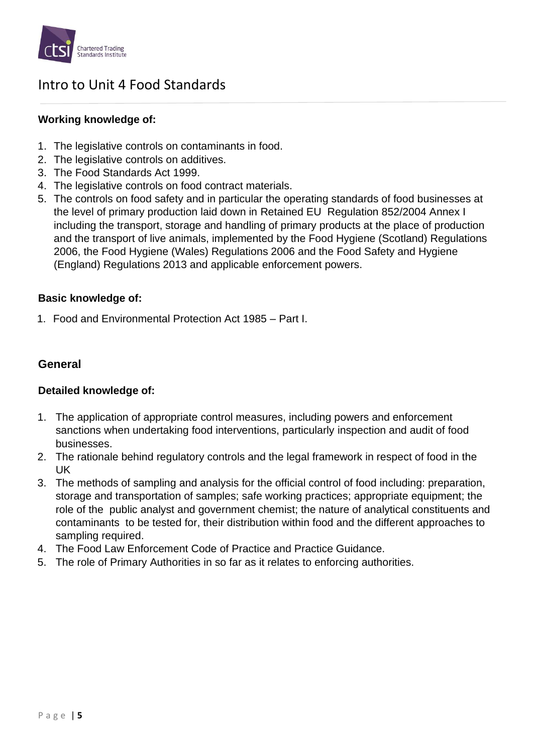

### **Working knowledge of:**

- 1. The legislative controls on contaminants in food.
- 2. The legislative controls on additives.
- 3. The Food Standards Act 1999.
- 4. The legislative controls on food contract materials.
- 5. The controls on food safety and in particular the operating standards of food businesses at the level of primary production laid down in Retained EU Regulation 852/2004 Annex I including the transport, storage and handling of primary products at the place of production and the transport of live animals, implemented by the Food Hygiene (Scotland) Regulations 2006, the Food Hygiene (Wales) Regulations 2006 and the Food Safety and Hygiene (England) Regulations 2013 and applicable enforcement powers.

### **Basic knowledge of:**

1. Food and Environmental Protection Act 1985 – Part I.

### **General**

### **Detailed knowledge of:**

- 1. The application of appropriate control measures, including powers and enforcement sanctions when undertaking food interventions, particularly inspection and audit of food businesses.
- 2. The rationale behind regulatory controls and the legal framework in respect of food in the UK
- 3. The methods of sampling and analysis for the official control of food including: preparation, storage and transportation of samples; safe working practices; appropriate equipment; the role of the public analyst and government chemist; the nature of analytical constituents and contaminants to be tested for, their distribution within food and the different approaches to sampling required.
- 4. The Food Law Enforcement Code of Practice and Practice Guidance.
- 5. The role of Primary Authorities in so far as it relates to enforcing authorities.